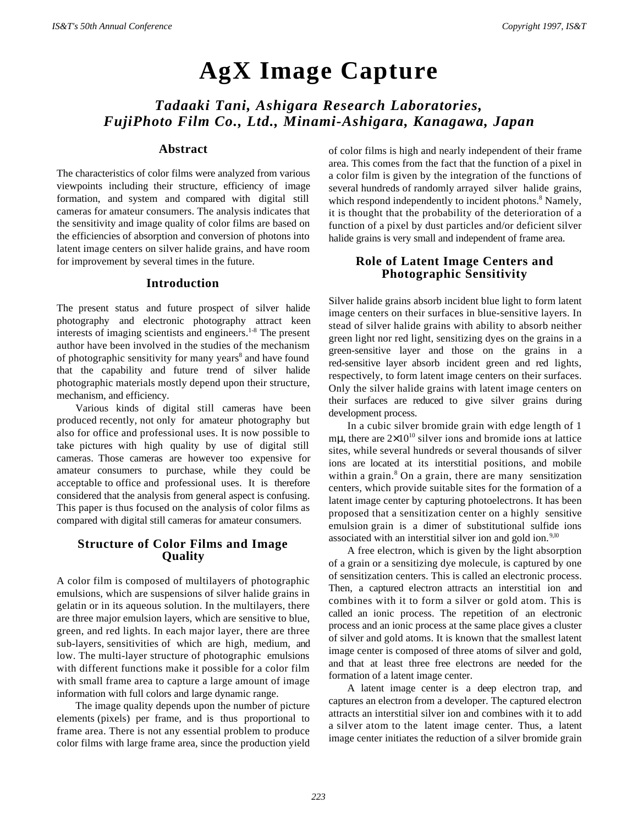# **AgX Image Capture**

# *Tadaaki Tani, Ashigara Research Laboratories, FujiPhoto Film Co., Ltd., Minami-Ashigara, Kanagawa, Japan*

#### **Abstract**

The characteristics of color films were analyzed from various viewpoints including their structure, efficiency of image formation, and system and compared with digital still cameras for amateur consumers. The analysis indicates that the sensitivity and image quality of color films are based on the efficiencies of absorption and conversion of photons into latent image centers on silver halide grains, and have room for improvement by several times in the future.

#### **Introduction**

The present status and future prospect of silver halide photography and electronic photography attract keen interests of imaging scientists and engineers.<sup>1-8</sup> The present author have been involved in the studies of the mechanism of photographic sensitivity for many years<sup>8</sup> and have found that the capability and future trend of silver halide photographic materials mostly depend upon their structure, mechanism, and efficiency.

Various kinds of digital still cameras have been produced recently, not only for amateur photography but also for office and professional uses. It is now possible to take pictures with high quality by use of digital still cameras. Those cameras are however too expensive for amateur consumers to purchase, while they could be acceptable to office and professional uses. It is therefore considered that the analysis from general aspect is confusing. This paper is thus focused on the analysis of color films as compared with digital still cameras for amateur consumers.

### **Structure of Color Films and Image Quality**

A color film is composed of multilayers of photographic emulsions, which are suspensions of silver halide grains in gelatin or in its aqueous solution. In the multilayers, there are three major emulsion layers, which are sensitive to blue, green, and red lights. In each major layer, there are three sub-layers, sensitivities of which are high, medium, and low. The multi-layer structure of photographic emulsions with different functions make it possible for a color film with small frame area to capture a large amount of image information with full colors and large dynamic range.

The image quality depends upon the number of picture elements (pixels) per frame, and is thus proportional to frame area. There is not any essential problem to produce color films with large frame area, since the production yield of color films is high and nearly independent of their frame area. This comes from the fact that the function of a pixel in a color film is given by the integration of the functions of several hundreds of randomly arrayed silver halide grains, which respond independently to incident photons.<sup>8</sup> Namely, it is thought that the probability of the deterioration of a function of a pixel by dust particles and/or deficient silver halide grains is very small and independent of frame area.

## **Role of Latent Image Centers and Photographic Sensitivity**

Silver halide grains absorb incident blue light to form latent image centers on their surfaces in blue-sensitive layers. In stead of silver halide grains with ability to absorb neither green light nor red light, sensitizing dyes on the grains in a green-sensitive layer and those on the grains in a red-sensitive layer absorb incident green and red lights, respectively, to form latent image centers on their surfaces. Only the silver halide grains with latent image centers on their surfaces are reduced to give silver grains during development process.

In a cubic silver bromide grain with edge length of 1 mu, there are  $2\times10^{10}$  silver ions and bromide ions at lattice sites, while several hundreds or several thousands of silver ions are located at its interstitial positions, and mobile within a grain.<sup>8</sup> On a grain, there are many sensitization centers, which provide suitable sites for the formation of a latent image center by capturing photoelectrons. It has been proposed that a sensitization center on a highly sensitive emulsion grain is a dimer of substitutional sulfide ions associated with an interstitial silver ion and gold ion. $9,10$ 

A free electron, which is given by the light absorption of a grain or a sensitizing dye molecule, is captured by one of sensitization centers. This is called an electronic process. Then, a captured electron attracts an interstitial ion and combines with it to form a silver or gold atom. This is called an ionic process. The repetition of an electronic process and an ionic process at the same place gives a cluster of silver and gold atoms. It is known that the smallest latent image center is composed of three atoms of silver and gold, and that at least three free electrons are needed for the formation of a latent image center.

A latent image center is a deep electron trap, and captures an electron from a developer. The captured electron attracts an interstitial silver ion and combines with it to add a silver atom to the latent image center. Thus, a latent image center initiates the reduction of a silver bromide grain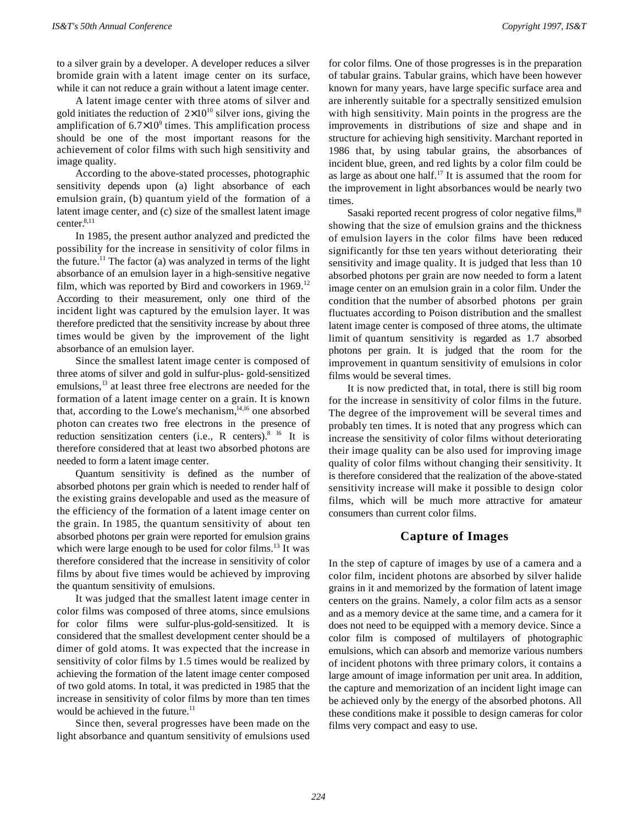to a silver grain by a developer. A developer reduces a silver bromide grain with a latent image center on its surface, while it can not reduce a grain without a latent image center.

A latent image center with three atoms of silver and gold initiates the reduction of  $2\times10^{10}$  silver ions, giving the amplification of  $6.7 \times 10^9$  times. This amplification process should be one of the most important reasons for the achievement of color films with such high sensitivity and image quality.

According to the above-stated processes, photographic sensitivity depends upon (a) light absorbance of each emulsion grain, (b) quantum yield of the formation of a latent image center, and (c) size of the smallest latent image center.<sup>8,11</sup>

In 1985, the present author analyzed and predicted the possibility for the increase in sensitivity of color films in the future.<sup>11</sup> The factor (a) was analyzed in terms of the light absorbance of an emulsion layer in a high-sensitive negative film, which was reported by Bird and coworkers in 1969.<sup>12</sup> According to their measurement, only one third of the incident light was captured by the emulsion layer. It was therefore predicted that the sensitivity increase by about three times would be given by the improvement of the light absorbance of an emulsion layer.

Since the smallest latent image center is composed of three atoms of silver and gold in sulfur-plus- gold-sensitized emulsions,<sup>13</sup> at least three free electrons are needed for the formation of a latent image center on a grain. It is known that, according to the Lowe's mechanism,<sup>14,16</sup> one absorbed photon can creates two free electrons in the presence of reduction sensitization centers (i.e., R centers).<sup>8 16</sup> It is therefore considered that at least two absorbed photons are needed to form a latent image center.

Quantum sensitivity is defined as the number of absorbed photons per grain which is needed to render half of the existing grains developable and used as the measure of the efficiency of the formation of a latent image center on the grain. In 1985, the quantum sensitivity of about ten absorbed photons per grain were reported for emulsion grains which were large enough to be used for color films.<sup>13</sup> It was therefore considered that the increase in sensitivity of color films by about five times would be achieved by improving the quantum sensitivity of emulsions.

It was judged that the smallest latent image center in color films was composed of three atoms, since emulsions for color films were sulfur-plus-gold-sensitized. It is considered that the smallest development center should be a dimer of gold atoms. It was expected that the increase in sensitivity of color films by 1.5 times would be realized by achieving the formation of the latent image center composed of two gold atoms. In total, it was predicted in 1985 that the increase in sensitivity of color films by more than ten times would be achieved in the future.<sup>11</sup>

Since then, several progresses have been made on the light absorbance and quantum sensitivity of emulsions used

for color films. One of those progresses is in the preparation of tabular grains. Tabular grains, which have been however known for many years, have large specific surface area and are inherently suitable for a spectrally sensitized emulsion with high sensitivity. Main points in the progress are the improvements in distributions of size and shape and in structure for achieving high sensitivity. Marchant reported in 1986 that, by using tabular grains, the absorbances of incident blue, green, and red lights by a color film could be as large as about one half.<sup>17</sup> It is assumed that the room for the improvement in light absorbances would be nearly two times.

Sasaki reported recent progress of color negative films,<sup>18</sup> showing that the size of emulsion grains and the thickness of emulsion layers in the color films have been reduced significantly for thse ten years without deteriorating their sensitivity and image quality. It is judged that less than 10 absorbed photons per grain are now needed to form a latent image center on an emulsion grain in a color film. Under the condition that the number of absorbed photons per grain fluctuates according to Poison distribution and the smallest latent image center is composed of three atoms, the ultimate limit of quantum sensitivity is regarded as 1.7 absorbed photons per grain. It is judged that the room for the improvement in quantum sensitivity of emulsions in color films would be several times.

It is now predicted that, in total, there is still big room for the increase in sensitivity of color films in the future. The degree of the improvement will be several times and probably ten times. It is noted that any progress which can increase the sensitivity of color films without deteriorating their image quality can be also used for improving image quality of color films without changing their sensitivity. It is therefore considered that the realization of the above-stated sensitivity increase will make it possible to design color films, which will be much more attractive for amateur consumers than current color films.

#### **Capture of Images**

In the step of capture of images by use of a camera and a color film, incident photons are absorbed by silver halide grains in it and memorized by the formation of latent image centers on the grains. Namely, a color film acts as a sensor and as a memory device at the same time, and a camera for it does not need to be equipped with a memory device. Since a color film is composed of multilayers of photographic emulsions, which can absorb and memorize various numbers of incident photons with three primary colors, it contains a large amount of image information per unit area. In addition, the capture and memorization of an incident light image can be achieved only by the energy of the absorbed photons. All these conditions make it possible to design cameras for color films very compact and easy to use.